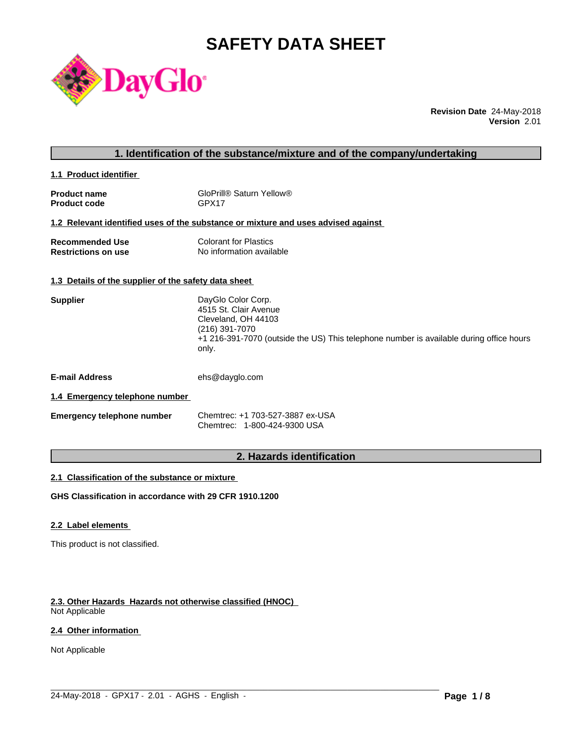# **SAFETY DATA SHEET**



**Revision Date** 24-May-2018 **Version** 2.01

# **1. Identification of the substance/mixture and of the company/undertaking**

**1.1 Product identifier** 

| <b>Product name</b> | GloPrill® Saturn Yellow® |
|---------------------|--------------------------|
| <b>Product code</b> | GPX17                    |

# **1.2 Relevant identified uses of the substance or mixture and uses advised against**

| <b>Recommended Use</b>     | <b>Colorant for Plastics</b> |
|----------------------------|------------------------------|
| <b>Restrictions on use</b> | No information available     |

#### **1.3 Details of the supplier of the safety data sheet**

| <b>Supplier</b> | DayGlo Color Corp.                                                                               |
|-----------------|--------------------------------------------------------------------------------------------------|
|                 | 4515 St. Clair Avenue                                                                            |
|                 | Cleveland, OH 44103                                                                              |
|                 | (216) 391-7070                                                                                   |
|                 | +1 216-391-7070 (outside the US) This telephone number is available during office hours<br>only. |
|                 |                                                                                                  |

**E-mail Address** ehs@dayglo.com

#### **1.4 Emergency telephone number**

| <b>Emergency telephone number</b> | Chemtrec: +1 703-527-3887 ex-USA |
|-----------------------------------|----------------------------------|
|                                   | Chemtrec: 1-800-424-9300 USA     |

# **2. Hazards identification**

 $\_$  ,  $\_$  ,  $\_$  ,  $\_$  ,  $\_$  ,  $\_$  ,  $\_$  ,  $\_$  ,  $\_$  ,  $\_$  ,  $\_$  ,  $\_$  ,  $\_$  ,  $\_$  ,  $\_$  ,  $\_$  ,  $\_$  ,  $\_$  ,  $\_$  ,  $\_$  ,  $\_$  ,  $\_$  ,  $\_$  ,  $\_$  ,  $\_$  ,  $\_$  ,  $\_$  ,  $\_$  ,  $\_$  ,  $\_$  ,  $\_$  ,  $\_$  ,  $\_$  ,  $\_$  ,  $\_$  ,  $\_$  ,  $\_$  ,

#### **2.1 Classification of the substance or mixture**

**GHS Classification in accordance with 29 CFR 1910.1200**

#### **2.2 Label elements**

This product is not classified.

#### **2.3. Other Hazards Hazards not otherwise classified (HNOC)**

Not Applicable

# **2.4 Other information**

Not Applicable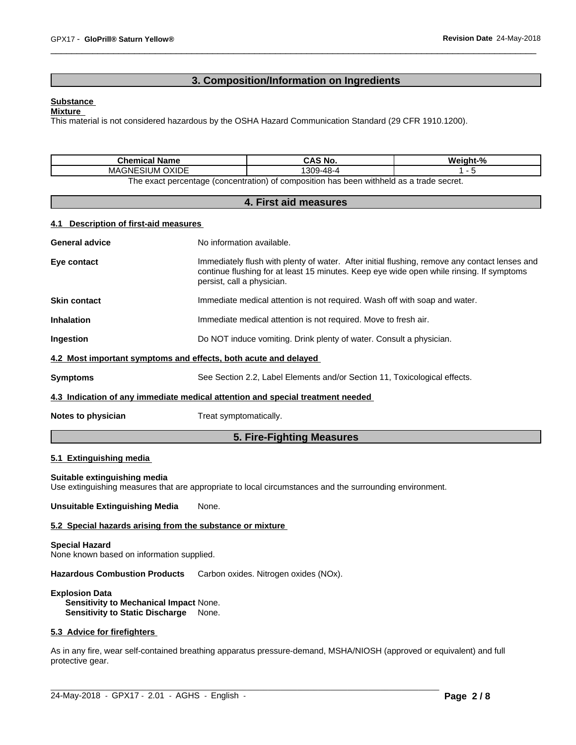# **3. Composition/Information on Ingredients**

#### **Substance**

#### **Mixture**

This material is not considered hazardous by the OSHA Hazard Communication Standard (29 CFR 1910.1200).

| <b>Chemical Name</b>                                                                                  | CAS No.   | Weight-% |  |  |
|-------------------------------------------------------------------------------------------------------|-----------|----------|--|--|
| OXIDE<br><b>SIUM</b><br>MAGNE:                                                                        | 1309-48-4 |          |  |  |
| ו withheld as a trade secret.<br>The exact percentage (concentration) of composition i.<br>ı has been |           |          |  |  |

### **4. First aid measures**

#### **4.1 Description of first-aid measures**

| <b>General advice</b> | No information available.                                                                                                                                                                                               |
|-----------------------|-------------------------------------------------------------------------------------------------------------------------------------------------------------------------------------------------------------------------|
| Eye contact           | Immediately flush with plenty of water. After initial flushing, remove any contact lenses and<br>continue flushing for at least 15 minutes. Keep eye wide open while rinsing. If symptoms<br>persist, call a physician. |
| <b>Skin contact</b>   | Immediate medical attention is not required. Wash off with soap and water.                                                                                                                                              |
| <b>Inhalation</b>     | Immediate medical attention is not required. Move to fresh air.                                                                                                                                                         |
| Ingestion             | Do NOT induce vomiting. Drink plenty of water. Consult a physician.                                                                                                                                                     |
|                       | 4.2 Most important symptoms and effects, both acute and delayed                                                                                                                                                         |
| <b>Symptoms</b>       | See Section 2.2, Label Elements and/or Section 11, Toxicological effects.                                                                                                                                               |
|                       | 4.3 Indication of any immediate medical attention and special treatment needed                                                                                                                                          |
| Notes to physician    | Treat symptomatically.                                                                                                                                                                                                  |
|                       | 5. Fire-Fighting Measures                                                                                                                                                                                               |

# **5.1 Extinguishing media**

#### **Suitable extinguishing media**

Use extinguishing measures that are appropriate to local circumstances and the surrounding environment.

**Unsuitable Extinguishing Media** None.

#### **5.2 Special hazards arising from the substance or mixture**

#### **Special Hazard**

None known based on information supplied.

**Hazardous Combustion Products** Carbon oxides. Nitrogen oxides (NOx).

#### **Explosion Data**

**Sensitivity to Mechanical Impact** None. **Sensitivity to Static Discharge** None.

#### **5.3 Advice for firefighters**

As in any fire, wear self-contained breathing apparatus pressure-demand, MSHA/NIOSH (approved or equivalent) and full protective gear.

 $\_$  ,  $\_$  ,  $\_$  ,  $\_$  ,  $\_$  ,  $\_$  ,  $\_$  ,  $\_$  ,  $\_$  ,  $\_$  ,  $\_$  ,  $\_$  ,  $\_$  ,  $\_$  ,  $\_$  ,  $\_$  ,  $\_$  ,  $\_$  ,  $\_$  ,  $\_$  ,  $\_$  ,  $\_$  ,  $\_$  ,  $\_$  ,  $\_$  ,  $\_$  ,  $\_$  ,  $\_$  ,  $\_$  ,  $\_$  ,  $\_$  ,  $\_$  ,  $\_$  ,  $\_$  ,  $\_$  ,  $\_$  ,  $\_$  ,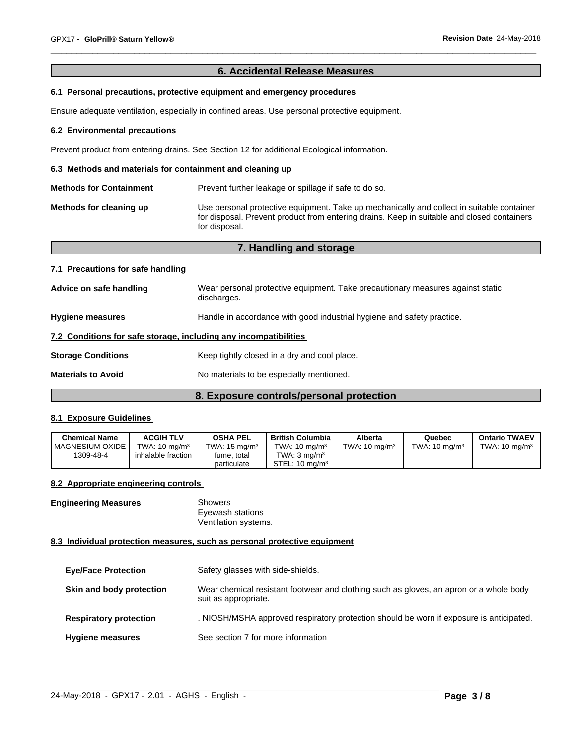# **6. Accidental Release Measures**

# **6.1 Personal precautions, protective equipment and emergency procedures**

Ensure adequate ventilation, especially in confined areas. Use personal protective equipment.

#### **6.2 Environmental precautions**

Prevent product from entering drains. See Section 12 for additional Ecological information.

#### **6.3 Methods and materials for containment and cleaning up**

**Methods for Containment** Prevent further leakage or spillage if safe to do so. **Methods for cleaning up** Use personal protective equipment. Take up mechanically and collect in suitable container for disposal. Prevent product from entering drains. Keep in suitable and closed containers for disposal.

| 7. Handling and storage                                          |                                                                                               |  |
|------------------------------------------------------------------|-----------------------------------------------------------------------------------------------|--|
| 7.1 Precautions for safe handling                                |                                                                                               |  |
| Advice on safe handling                                          | Wear personal protective equipment. Take precautionary measures against static<br>discharges. |  |
| <b>Hygiene measures</b>                                          | Handle in accordance with good industrial hygiene and safety practice.                        |  |
| 7.2 Conditions for safe storage, including any incompatibilities |                                                                                               |  |
| <b>Storage Conditions</b>                                        | Keep tightly closed in a dry and cool place.                                                  |  |
| <b>Materials to Avoid</b>                                        | No materials to be especially mentioned.                                                      |  |
|                                                                  |                                                                                               |  |

# **8. Exposure controls/personal protection**

# **8.1 Exposure Guidelines**

| Chemical Name     | <b>ACGIH TLV</b>         | <b>OSHA PEL</b>          | British Columbia          | Alberta                  | Quebec                   | <b>Ontario TWAEV</b>     |
|-------------------|--------------------------|--------------------------|---------------------------|--------------------------|--------------------------|--------------------------|
| I MAGNESIUM OXIDE | TWA: $10 \text{ ma/m}^3$ | TWA: $15 \text{ ma/m}^3$ | TWA: $10 \text{ ma/m}^3$  | TWA: $10 \text{ ma/m}^3$ | TWA: $10 \text{ mg/m}^3$ | TWA: $10 \text{ ma/m}^3$ |
| 1309-48-4         | inhalable fraction       | fume, total              | TWA: $3 \text{ ma/m}^3$   |                          |                          |                          |
|                   |                          | particulate              | STEL: $10 \text{ ma/m}^3$ |                          |                          |                          |

#### **8.2 Appropriate engineering controls**

| <b>Engineering Measures</b> | Showers              |
|-----------------------------|----------------------|
|                             | Eyewash stations     |
|                             | Ventilation systems. |

#### **8.3 Individual protection measures, such as personal protective equipment**

| <b>Eye/Face Protection</b>    | Safety glasses with side-shields.                                                                              |
|-------------------------------|----------------------------------------------------------------------------------------------------------------|
| Skin and body protection      | Wear chemical resistant footwear and clothing such as gloves, an apron or a whole body<br>suit as appropriate. |
| <b>Respiratory protection</b> | . NIOSH/MSHA approved respiratory protection should be worn if exposure is anticipated.                        |
| <b>Hygiene measures</b>       | See section 7 for more information                                                                             |

 $\_$  ,  $\_$  ,  $\_$  ,  $\_$  ,  $\_$  ,  $\_$  ,  $\_$  ,  $\_$  ,  $\_$  ,  $\_$  ,  $\_$  ,  $\_$  ,  $\_$  ,  $\_$  ,  $\_$  ,  $\_$  ,  $\_$  ,  $\_$  ,  $\_$  ,  $\_$  ,  $\_$  ,  $\_$  ,  $\_$  ,  $\_$  ,  $\_$  ,  $\_$  ,  $\_$  ,  $\_$  ,  $\_$  ,  $\_$  ,  $\_$  ,  $\_$  ,  $\_$  ,  $\_$  ,  $\_$  ,  $\_$  ,  $\_$  ,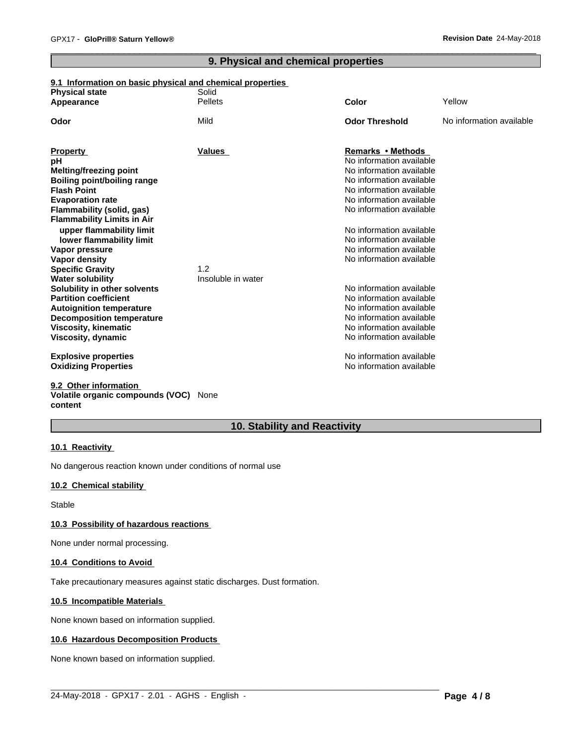# **9. Physical and chemical properties**

# **9.1 Information on basic physical and chemical properties**

| <b>Physical state</b>                                        | Solid              |                                                      |                          |
|--------------------------------------------------------------|--------------------|------------------------------------------------------|--------------------------|
| Appearance                                                   | <b>Pellets</b>     | Color                                                | Yellow                   |
| Odor                                                         | Mild               | <b>Odor Threshold</b>                                | No information available |
|                                                              |                    |                                                      |                          |
| <b>Property</b>                                              | <b>Values</b>      | <b>Remarks • Methods</b><br>No information available |                          |
| pH                                                           |                    |                                                      |                          |
| <b>Melting/freezing point</b>                                |                    | No information available                             |                          |
| <b>Boiling point/boiling range</b>                           |                    | No information available<br>No information available |                          |
| <b>Flash Point</b>                                           |                    | No information available                             |                          |
| <b>Evaporation rate</b>                                      |                    | No information available                             |                          |
| Flammability (solid, gas)                                    |                    |                                                      |                          |
| <b>Flammability Limits in Air</b>                            |                    |                                                      |                          |
| upper flammability limit                                     |                    | No information available                             |                          |
| lower flammability limit                                     |                    | No information available                             |                          |
| Vapor pressure                                               |                    | No information available<br>No information available |                          |
| Vapor density                                                |                    |                                                      |                          |
| <b>Specific Gravity</b>                                      | 1.2                |                                                      |                          |
| <b>Water solubility</b>                                      | Insoluble in water | No information available                             |                          |
| Solubility in other solvents<br><b>Partition coefficient</b> |                    | No information available                             |                          |
|                                                              |                    | No information available                             |                          |
| <b>Autoignition temperature</b>                              |                    | No information available                             |                          |
| <b>Decomposition temperature</b>                             |                    | No information available                             |                          |
| <b>Viscosity, kinematic</b>                                  |                    | No information available                             |                          |
| Viscosity, dynamic                                           |                    |                                                      |                          |
| <b>Explosive properties</b>                                  |                    | No information available                             |                          |
| <b>Oxidizing Properties</b>                                  |                    | No information available                             |                          |
| 9.2 Other information                                        |                    |                                                      |                          |

# **Volatile organic compounds (VOC)** None **content**

# **10. Stability and Reactivity**

 $\_$  ,  $\_$  ,  $\_$  ,  $\_$  ,  $\_$  ,  $\_$  ,  $\_$  ,  $\_$  ,  $\_$  ,  $\_$  ,  $\_$  ,  $\_$  ,  $\_$  ,  $\_$  ,  $\_$  ,  $\_$  ,  $\_$  ,  $\_$  ,  $\_$  ,  $\_$  ,  $\_$  ,  $\_$  ,  $\_$  ,  $\_$  ,  $\_$  ,  $\_$  ,  $\_$  ,  $\_$  ,  $\_$  ,  $\_$  ,  $\_$  ,  $\_$  ,  $\_$  ,  $\_$  ,  $\_$  ,  $\_$  ,  $\_$  ,

#### **10.1 Reactivity**

No dangerous reaction known under conditions of normal use

# **10.2 Chemical stability**

Stable

#### **10.3 Possibility of hazardous reactions**

None under normal processing.

#### **10.4 Conditions to Avoid**

Take precautionary measures against static discharges. Dust formation.

#### **10.5 Incompatible Materials**

None known based on information supplied.

#### **10.6 Hazardous Decomposition Products**

None known based on information supplied.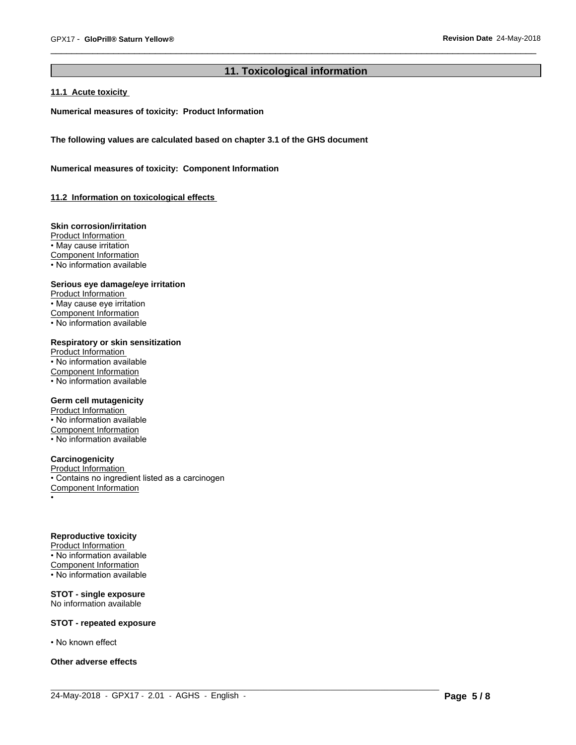# **11. Toxicological information**

# **11.1 Acute toxicity**

**Numerical measures of toxicity: Product Information**

**The following values are calculated based on chapter 3.1 of the GHS document**

**Numerical measures of toxicity: Component Information**

**11.2 Information on toxicologicaleffects**

#### **Skin corrosion/irritation**

Product Information • May cause irritation Component Information • No information available

#### **Serious eye damage/eye irritation**

Product Information • May cause eye irritation Component Information • No information available

# **Respiratory or skin sensitization**

Product Information • No information available Component Information • No information available

#### **Germ cell mutagenicity**

Product Information • No information available Component Information • No information available

#### **Carcinogenicity**

Product Information • Contains no ingredient listed as a carcinogen Component Information •

#### **Reproductive toxicity**

Product Information • No information available Component Information • No information available

#### **STOT - single exposure** No information available

#### **STOT - repeated exposure**

• No known effect

#### **Other adverse effects**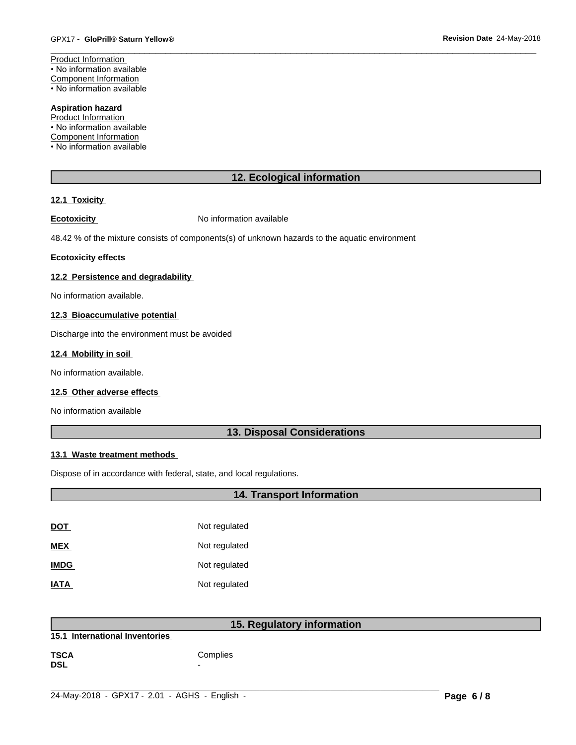Product Information • No information available Component Information • No information available

# **Aspiration hazard**

Product Information • No information available

Component Information

• No information available

# **12. Ecological information**

# **12.1 Toxicity**

**Ecotoxicity No information available** 

48.42 % of the mixture consists of components(s) of unknown hazards to the aquatic environment

#### **Ecotoxicity effects**

#### **12.2 Persistence and degradability**

No information available.

# **12.3 Bioaccumulative potential**

Discharge into the environment must be avoided

#### **12.4 Mobility in soil**

No information available.

#### **12.5 Other adverse effects**

No information available

# **13. Disposal Considerations**

# **13.1 Waste treatment methods**

Dispose of in accordance with federal, state, and local regulations.

| <b>14. Transport Information</b> |               |  |
|----------------------------------|---------------|--|
|                                  |               |  |
| <b>DOT</b>                       | Not regulated |  |
| <b>MEX</b>                       | Not regulated |  |
| <b>IMDG</b>                      | Not regulated |  |
| <b>IATA</b>                      | Not regulated |  |
|                                  |               |  |

|                                | 15. Regulatory information |
|--------------------------------|----------------------------|
| 15.1 International Inventories |                            |
| <b>TSCA</b><br><b>DSL</b>      | Complies<br>-              |

 $\_$  ,  $\_$  ,  $\_$  ,  $\_$  ,  $\_$  ,  $\_$  ,  $\_$  ,  $\_$  ,  $\_$  ,  $\_$  ,  $\_$  ,  $\_$  ,  $\_$  ,  $\_$  ,  $\_$  ,  $\_$  ,  $\_$  ,  $\_$  ,  $\_$  ,  $\_$  ,  $\_$  ,  $\_$  ,  $\_$  ,  $\_$  ,  $\_$  ,  $\_$  ,  $\_$  ,  $\_$  ,  $\_$  ,  $\_$  ,  $\_$  ,  $\_$  ,  $\_$  ,  $\_$  ,  $\_$  ,  $\_$  ,  $\_$  ,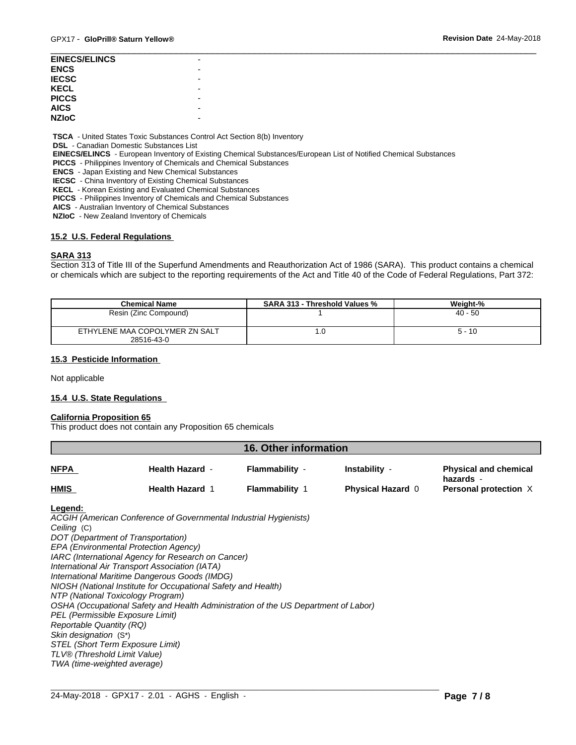| <b>EINECS/ELINCS</b> |   |
|----------------------|---|
| <b>ENCS</b>          | - |
| <b>IECSC</b>         |   |
| <b>KECL</b>          |   |
| <b>PICCS</b>         | - |
| <b>AICS</b>          |   |
| <b>NZIoC</b>         |   |
|                      |   |

 **TSCA** - United States Toxic Substances Control Act Section 8(b) Inventory

 **DSL** - Canadian Domestic Substances List

 **EINECS/ELINCS** - European Inventory of Existing Chemical Substances/European List of Notified Chemical Substances

 **PICCS** - Philippines Inventory of Chemicals and Chemical Substances

 **ENCS** - Japan Existing and New Chemical Substances

 **IECSC** - China Inventory of Existing Chemical Substances

 **KECL** - Korean Existing and Evaluated Chemical Substances

 **PICCS** - Philippines Inventory of Chemicals and Chemical Substances

 **AICS** - Australian Inventory of Chemical Substances

 **NZIoC** - New Zealand Inventory of Chemicals

#### **15.2 U.S. Federal Regulations**

#### **SARA 313**

Section 313 of Title III of the Superfund Amendments and Reauthorization Act of 1986 (SARA). This product contains a chemical or chemicals which are subject to the reporting requirements of the Act and Title 40 of the Code of Federal Regulations, Part 372:

| <b>Chemical Name</b>                         | <b>SARA 313 - Threshold Values %</b> | Weiaht-%  |
|----------------------------------------------|--------------------------------------|-----------|
| Resin (Zinc Compound)                        |                                      | $40 - 50$ |
| ETHYLENE MAA COPOLYMER ZN SALT<br>28516-43-0 | . u                                  | $5 - 10$  |

#### **15.3 Pesticide Information**

Not applicable

#### **15.4 U.S. State Regulations**

# **California Proposition 65**

This product does not contain any Proposition 65 chemicals

| <b>16. Other information</b> |                        |                       |                          |                                           |  |  |
|------------------------------|------------------------|-----------------------|--------------------------|-------------------------------------------|--|--|
| <b>NFPA</b>                  | <b>Health Hazard -</b> | Flammability -        | Instability -            | <b>Physical and chemical</b><br>hazards - |  |  |
| <b>HMIS</b>                  | <b>Health Hazard 1</b> | <b>Flammability 1</b> | <b>Physical Hazard 0</b> | Personal protection X                     |  |  |

#### **Legend:**

*ACGIH (American Conference of Governmental Industrial Hygienists) Ceiling* (C) *DOT (Department of Transportation) EPA (Environmental Protection Agency) IARC (International Agency for Research on Cancer) International Air Transport Association (IATA) International Maritime Dangerous Goods (IMDG) NIOSH (National Institute for Occupational Safety and Health) NTP (National Toxicology Program) OSHA (Occupational Safety and Health Administration of the US Department of Labor) PEL (Permissible Exposure Limit) Reportable Quantity (RQ) Skin designation* (S\*) *STEL (Short Term Exposure Limit) TLV® (Threshold Limit Value) TWA (time-weighted average)*